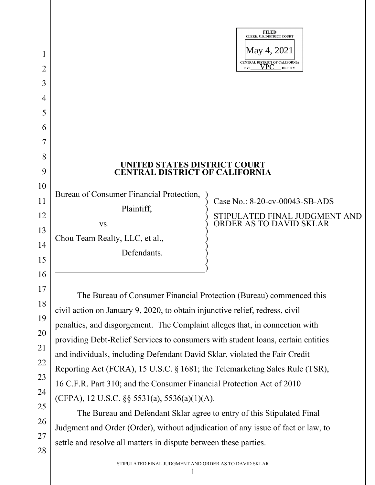|          |                                                                                  | <b>FILED</b><br>CLERK, U.S. DISTRICT COURT               |
|----------|----------------------------------------------------------------------------------|----------------------------------------------------------|
| $\bf{l}$ |                                                                                  | May 4, 2021<br>CENTRAL DISTRICT OF CALIFORNIA            |
| 2        |                                                                                  | VPC<br><b>DEPUTY</b><br>BY:                              |
| 3        |                                                                                  |                                                          |
| 4        |                                                                                  |                                                          |
| 5        |                                                                                  |                                                          |
| 6        |                                                                                  |                                                          |
|          |                                                                                  |                                                          |
| 8        | UNITED STATES DISTRICT COURT                                                     |                                                          |
| 9        | <b>CENTRAL DISTRICT OF CALIFORNIA</b>                                            |                                                          |
| 10       | Bureau of Consumer Financial Protection,                                         |                                                          |
| 11       | Plaintiff,                                                                       | Case No.: 8-20-cv-00043-SB-ADS                           |
| 12       | VS.                                                                              | STIPULATED FINAL JUDGMENT AND<br>ORDER AS TO DAVID SKLAR |
| 13       | Chou Team Realty, LLC, et al.,                                                   |                                                          |
| 14       | Defendants.                                                                      |                                                          |
| 15       |                                                                                  |                                                          |
| 16       |                                                                                  |                                                          |
| 17<br>18 | The Bureau of Consumer Financial Protection (Bureau) commenced this              |                                                          |
| 19       | civil action on January 9, 2020, to obtain injunctive relief, redress, civil     |                                                          |
| 20       | penalties, and disgorgement. The Complaint alleges that, in connection with      |                                                          |
| 21       | providing Debt-Relief Services to consumers with student loans, certain entities |                                                          |
| 22       | and individuals, including Defendant David Sklar, violated the Fair Credit       |                                                          |
| 23       | Reporting Act (FCRA), 15 U.S.C. § 1681; the Telemarketing Sales Rule (TSR),      |                                                          |
| 24       | 16 C.F.R. Part 310; and the Consumer Financial Protection Act of 2010            |                                                          |
| 25       | (CFPA), 12 U.S.C. $\S$ § 5531(a), 5536(a)(1)(A).                                 |                                                          |
| 26       | The Bureau and Defendant Sklar agree to entry of this Stipulated Final           |                                                          |
| 27       | Judgment and Order (Order), without adjudication of any issue of fact or law, to |                                                          |
| 28       | settle and resolve all matters in dispute between these parties.                 |                                                          |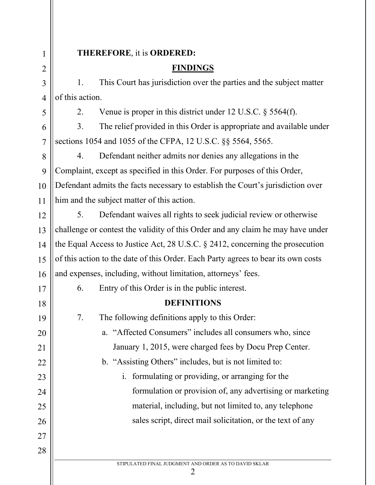#### **THEREFORE**, it is **ORDERED:**

#### **FINDINGS**

1. This Court has jurisdiction over the parties and the subject matter of this action.

2. Venue is proper in this district under 12 U.S.C. § 5564(f).

3. The relief provided in this Order is appropriate and available under sections 1054 and 1055 of the CFPA, 12 U.S.C. §§ 5564, 5565.

4. Defendant neither admits nor denies any allegations in the Complaint, except as specified in this Order. For purposes of this Order, Defendant admits the facts necessary to establish the Court's jurisdiction over him and the subject matter of this action.

5. Defendant waives all rights to seek judicial review or otherwise challenge or contest the validity of this Order and any claim he may have under the Equal Access to Justice Act, 28 U.S.C. § 2412, concerning the prosecution of this action to the date of this Order. Each Party agrees to bear its own costs and expenses, including, without limitation, attorneys' fees.

6. Entry of this Order is in the public interest.

# **DEFINITIONS**

7. The following definitions apply to this Order: a. "Affected Consumers" includes all consumers who, since January 1, 2015, were charged fees by Docu Prep Center. b. "Assisting Others" includes, but is not limited to: i. formulating or providing, or arranging for the formulation or provision of, any advertising or marketing material, including, but not limited to, any telephone sales script, direct mail solicitation, or the text of any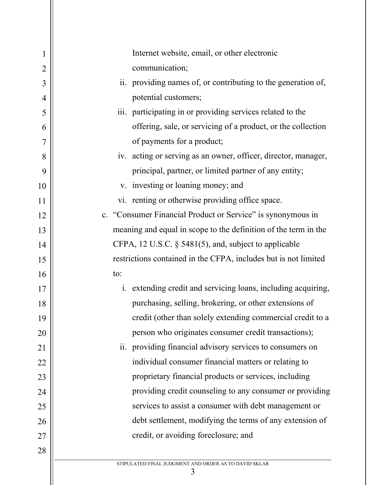| 1              | Internet website, email, or other electronic                    |
|----------------|-----------------------------------------------------------------|
| $\overline{2}$ | communication;                                                  |
| 3              | ii. providing names of, or contributing to the generation of,   |
| 4              | potential customers;                                            |
| 5              | iii. participating in or providing services related to the      |
| 6              | offering, sale, or servicing of a product, or the collection    |
| 7              | of payments for a product;                                      |
| 8              | iv. acting or serving as an owner, officer, director, manager,  |
| 9              | principal, partner, or limited partner of any entity;           |
| 10             | v. investing or loaning money; and                              |
| 11             | vi. renting or otherwise providing office space.                |
| 12             | c. "Consumer Financial Product or Service" is synonymous in     |
| 13             | meaning and equal in scope to the definition of the term in the |
| 14             | CFPA, 12 U.S.C. § 5481(5), and, subject to applicable           |
| 15             | restrictions contained in the CFPA, includes but is not limited |
| 16             | to:                                                             |
| 17             | i. extending credit and servicing loans, including acquiring,   |
| 18             | purchasing, selling, brokering, or other extensions of          |
| 19             | credit (other than solely extending commercial credit to a      |
| 20             | person who originates consumer credit transactions);            |
| 21             | providing financial advisory services to consumers on<br>11.    |
| 22             | individual consumer financial matters or relating to            |
| 23             | proprietary financial products or services, including           |
| 24             | providing credit counseling to any consumer or providing        |
| 25             | services to assist a consumer with debt management or           |
| 26             | debt settlement, modifying the terms of any extension of        |
| 27             | credit, or avoiding foreclosure; and                            |
| 28             |                                                                 |
|                | STIPULATED FINAL JUDGMENT AND ORDER AS TO DAVID SKLAR<br>3      |
|                |                                                                 |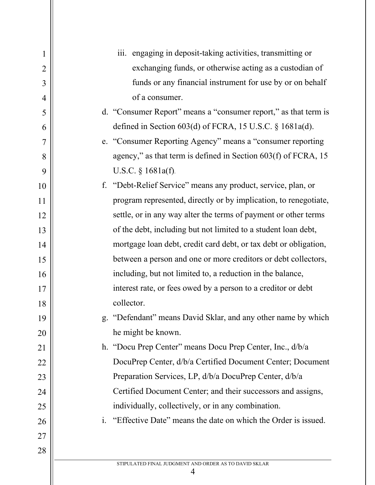| $\mathbf 1$    | iii. engaging in deposit-taking activities, transmitting or      |
|----------------|------------------------------------------------------------------|
| $\overline{2}$ | exchanging funds, or otherwise acting as a custodian of          |
| 3              | funds or any financial instrument for use by or on behalf        |
| 4              | of a consumer.                                                   |
| 5              | d. "Consumer Report" means a "consumer report," as that term is  |
| 6              | defined in Section $603(d)$ of FCRA, 15 U.S.C. § 1681a(d).       |
| $\overline{7}$ | e. "Consumer Reporting Agency" means a "consumer reporting       |
| 8              | agency," as that term is defined in Section $603(f)$ of FCRA, 15 |
| 9              | U.S.C. $§$ 1681a(f).                                             |
| 10             | f. "Debt-Relief Service" means any product, service, plan, or    |
| 11             | program represented, directly or by implication, to renegotiate, |
| 12             | settle, or in any way alter the terms of payment or other terms  |
| 13             | of the debt, including but not limited to a student loan debt,   |
| 14             | mortgage loan debt, credit card debt, or tax debt or obligation, |
| 15             | between a person and one or more creditors or debt collectors,   |
| 16             | including, but not limited to, a reduction in the balance,       |
| 17             | interest rate, or fees owed by a person to a creditor or debt    |
| 18             | collector.                                                       |
| 19             | "Defendant" means David Sklar, and any other name by which<br>g. |
| 20             | he might be known.                                               |
| 21             | h. "Docu Prep Center" means Docu Prep Center, Inc., d/b/a        |
| 22             | DocuPrep Center, d/b/a Certified Document Center; Document       |
| 23             | Preparation Services, LP, d/b/a DocuPrep Center, d/b/a           |
| 24             | Certified Document Center; and their successors and assigns,     |
| 25             | individually, collectively, or in any combination.               |
| 26             | i. "Effective Date" means the date on which the Order is issued. |
| 27             |                                                                  |
| 28             |                                                                  |
|                | STIPULATED FINAL JUDGMENT AND ORDER AS TO DAVID SKLAR<br>4       |
|                |                                                                  |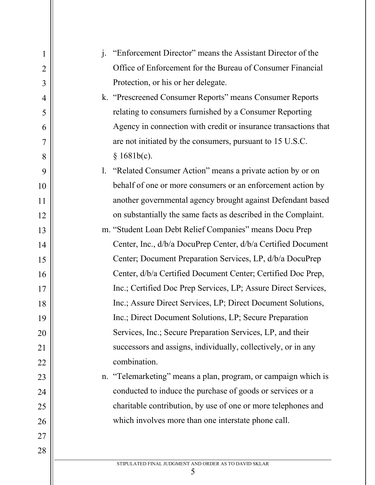| $\mathbf{1}$   | "Enforcement Director" means the Assistant Director of the<br>$\mathbf{i}$ . |
|----------------|------------------------------------------------------------------------------|
| $\overline{2}$ | Office of Enforcement for the Bureau of Consumer Financial                   |
| 3              | Protection, or his or her delegate.                                          |
| 4              | k. "Prescreened Consumer Reports" means Consumer Reports                     |
| 5              | relating to consumers furnished by a Consumer Reporting                      |
| 6              | Agency in connection with credit or insurance transactions that              |
| 7              | are not initiated by the consumers, pursuant to 15 U.S.C.                    |
| 8              | § 1681b(c).                                                                  |
| 9              | 1. "Related Consumer Action" means a private action by or on                 |
| 10             | behalf of one or more consumers or an enforcement action by                  |
| 11             | another governmental agency brought against Defendant based                  |
| 12             | on substantially the same facts as described in the Complaint.               |
| 13             | m. "Student Loan Debt Relief Companies" means Docu Prep                      |
| 14             | Center, Inc., d/b/a DocuPrep Center, d/b/a Certified Document                |
| 15             | Center; Document Preparation Services, LP, d/b/a DocuPrep                    |
| 16             | Center, d/b/a Certified Document Center; Certified Doc Prep,                 |
| 17             | Inc.; Certified Doc Prep Services, LP; Assure Direct Services,               |
| 18             | Inc.; Assure Direct Services, LP; Direct Document Solutions,                 |
| 19             | Inc.; Direct Document Solutions, LP; Secure Preparation                      |
| 20             | Services, Inc.; Secure Preparation Services, LP, and their                   |
| 21             | successors and assigns, individually, collectively, or in any                |
| 22             | combination.                                                                 |
| 23             | n. "Telemarketing" means a plan, program, or campaign which is               |
| 24             | conducted to induce the purchase of goods or services or a                   |
| 25             | charitable contribution, by use of one or more telephones and                |
| 26             | which involves more than one interstate phone call.                          |
| 27             |                                                                              |
| 28             |                                                                              |
|                | STIPULATED FINAL JUDGMENT AND ORDER AS TO DAVID SKLAR                        |

 $rac{1}{5}$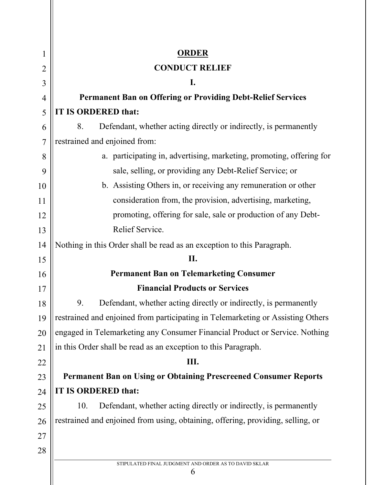| $\mathbf{l}$   | <b>ORDER</b>                                                                    |  |
|----------------|---------------------------------------------------------------------------------|--|
| $\overline{2}$ | <b>CONDUCT RELIEF</b>                                                           |  |
| 3              | I.                                                                              |  |
| 4              | <b>Permanent Ban on Offering or Providing Debt-Relief Services</b>              |  |
| 5              | <b>IT IS ORDERED that:</b>                                                      |  |
| 6              | Defendant, whether acting directly or indirectly, is permanently<br>8.          |  |
| $\overline{7}$ | restrained and enjoined from:                                                   |  |
| 8              | a. participating in, advertising, marketing, promoting, offering for            |  |
| 9              | sale, selling, or providing any Debt-Relief Service; or                         |  |
| 10             | b. Assisting Others in, or receiving any remuneration or other                  |  |
| 11             | consideration from, the provision, advertising, marketing,                      |  |
| 12             | promoting, offering for sale, sale or production of any Debt-                   |  |
| 13             | Relief Service.                                                                 |  |
| 14             | Nothing in this Order shall be read as an exception to this Paragraph.          |  |
| 15             | II.                                                                             |  |
| 16             | <b>Permanent Ban on Telemarketing Consumer</b>                                  |  |
| 17             | <b>Financial Products or Services</b>                                           |  |
| 18             | Defendant, whether acting directly or indirectly, is permanently<br>9.          |  |
| 19             | restrained and enjoined from participating in Telemarketing or Assisting Others |  |
| 20             | engaged in Telemarketing any Consumer Financial Product or Service. Nothing     |  |
| 21             | in this Order shall be read as an exception to this Paragraph.                  |  |
| 22             | Ш.                                                                              |  |
| 23             | <b>Permanent Ban on Using or Obtaining Prescreened Consumer Reports</b>         |  |
| 24             | IT IS ORDERED that:                                                             |  |
| 25             | Defendant, whether acting directly or indirectly, is permanently<br>10.         |  |
| 26             | restrained and enjoined from using, obtaining, offering, providing, selling, or |  |
| 27             |                                                                                 |  |
| 28             |                                                                                 |  |
|                | STIPULATED FINAL JUDGMENT AND ORDER AS TO DAVID SKLAR<br>6                      |  |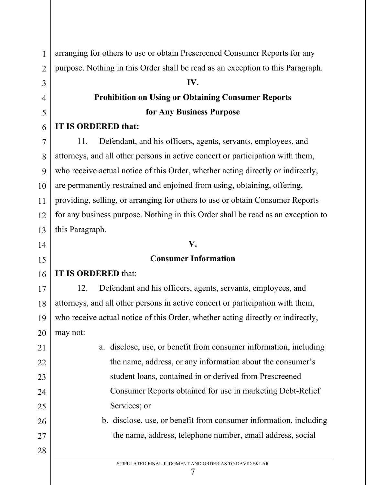arranging for others to use or obtain Prescreened Consumer Reports for any purpose. Nothing in this Order shall be read as an exception to this Paragraph.

#### **IV.**

# **Prohibition on Using or Obtaining Consumer Reports for Any Business Purpose**

# **IT IS ORDERED that:**

11. Defendant, and his officers, agents, servants, employees, and attorneys, and all other persons in active concert or participation with them, who receive actual notice of this Order, whether acting directly or indirectly, are permanently restrained and enjoined from using, obtaining, offering, providing, selling, or arranging for others to use or obtain Consumer Reports for any business purpose. Nothing in this Order shall be read as an exception to this Paragraph.

# **V.**

# **Consumer Information**

# **IT IS ORDERED** that:

12. Defendant and his officers, agents, servants, employees, and attorneys, and all other persons in active concert or participation with them, who receive actual notice of this Order, whether acting directly or indirectly, may not:

> a. disclose, use, or benefit from consumer information, including the name, address, or any information about the consumer's student loans, contained in or derived from Prescreened Consumer Reports obtained for use in marketing Debt-Relief Services; or

b. disclose, use, or benefit from consumer information, including the name, address, telephone number, email address, social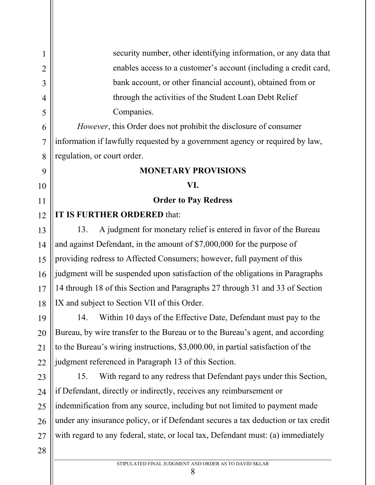1 2 3 4 5 6 7 8 9 10 11 12 13 14 15 16 17 18 19 20 21 22 23 24 25 26 27 28 security number, other identifying information, or any data that enables access to a customer's account (including a credit card, bank account, or other financial account), obtained from or through the activities of the Student Loan Debt Relief Companies. *However*, this Order does not prohibit the disclosure of consumer information if lawfully requested by a government agency or required by law, regulation, or court order. **MONETARY PROVISIONS VI. Order to Pay Redress IT IS FURTHER ORDERED** that: 13. A judgment for monetary relief is entered in favor of the Bureau and against Defendant, in the amount of \$7,000,000 for the purpose of providing redress to Affected Consumers; however, full payment of this judgment will be suspended upon satisfaction of the obligations in Paragraphs 14 through 18 of this Section and Paragraphs 27 through 31 and 33 of Section IX and subject to Section VII of this Order. 14. Within 10 days of the Effective Date, Defendant must pay to the Bureau, by wire transfer to the Bureau or to the Bureau's agent, and according to the Bureau's wiring instructions, \$3,000.00, in partial satisfaction of the judgment referenced in Paragraph 13 of this Section. 15. With regard to any redress that Defendant pays under this Section, if Defendant, directly or indirectly, receives any reimbursement or indemnification from any source, including but not limited to payment made under any insurance policy, or if Defendant secures a tax deduction or tax credit with regard to any federal, state, or local tax, Defendant must: (a) immediately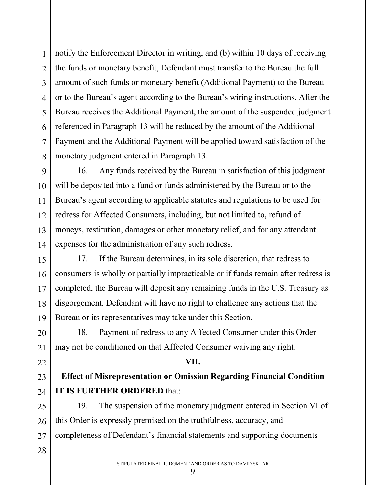3 4 5 6 7 8 9 10 11 12 13 14 15 16 17 18 19 20 21 22 amount of such funds or monetary benefit (Additional Payment) to the Bureau or to the Bureau's agent according to the Bureau's wiring instructions. After the Bureau receives the Additional Payment, the amount of the suspended judgment referenced in Paragraph 13 will be reduced by the amount of the Additional Payment and the Additional Payment will be applied toward satisfaction of the monetary judgment entered in Paragraph 13. 16. Any funds received by the Bureau in satisfaction of this judgment will be deposited into a fund or funds administered by the Bureau or to the Bureau's agent according to applicable statutes and regulations to be used for redress for Affected Consumers, including, but not limited to, refund of moneys, restitution, damages or other monetary relief, and for any attendant expenses for the administration of any such redress. 17. If the Bureau determines, in its sole discretion, that redress to consumers is wholly or partially impracticable or if funds remain after redress is completed, the Bureau will deposit any remaining funds in the U.S. Treasury as disgorgement. Defendant will have no right to challenge any actions that the Bureau or its representatives may take under this Section. 18. Payment of redress to any Affected Consumer under this Order may not be conditioned on that Affected Consumer waiving any right.

1

2

#### **VII.**

notify the Enforcement Director in writing, and (b) within 10 days of receiving

the funds or monetary benefit, Defendant must transfer to the Bureau the full

# **Effect of Misrepresentation or Omission Regarding Financial Condition IT IS FURTHER ORDERED** that:

25 26 27 19. The suspension of the monetary judgment entered in Section VI of this Order is expressly premised on the truthfulness, accuracy, and completeness of Defendant's financial statements and supporting documents

28

23

24

 $\mathbf Q$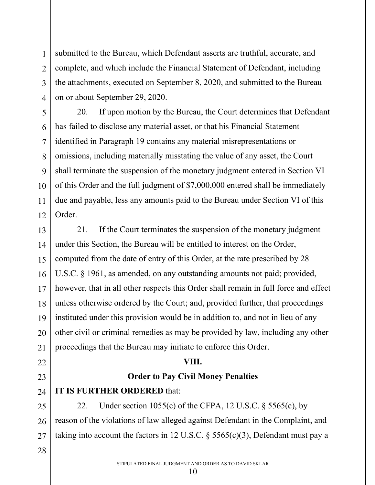submitted to the Bureau, which Defendant asserts are truthful, accurate, and complete, and which include the Financial Statement of Defendant, including the attachments, executed on September 8, 2020, and submitted to the Bureau on or about September 29, 2020.

20. If upon motion by the Bureau, the Court determines that Defendant has failed to disclose any material asset, or that his Financial Statement identified in Paragraph 19 contains any material misrepresentations or omissions, including materially misstating the value of any asset, the Court shall terminate the suspension of the monetary judgment entered in Section VI of this Order and the full judgment of \$7,000,000 entered shall be immediately due and payable, less any amounts paid to the Bureau under Section VI of this Order.

13 14 15 16 17 18 19 20 21 21. If the Court terminates the suspension of the monetary judgment under this Section, the Bureau will be entitled to interest on the Order, computed from the date of entry of this Order, at the rate prescribed by 28 U.S.C. § 1961, as amended, on any outstanding amounts not paid; provided, however, that in all other respects this Order shall remain in full force and effect unless otherwise ordered by the Court; and, provided further, that proceedings instituted under this provision would be in addition to, and not in lieu of any other civil or criminal remedies as may be provided by law, including any other proceedings that the Bureau may initiate to enforce this Order.

# **VIII.**

# **Order to Pay Civil Money Penalties**

**IT IS FURTHER ORDERED** that:

22. Under section 1055(c) of the CFPA, 12 U.S.C.  $\S$  5565(c), by reason of the violations of law alleged against Defendant in the Complaint, and taking into account the factors in 12 U.S.C.  $\S$  5565(c)(3), Defendant must pay a

28

22

23

24

25

26

27

1

2

3

4

5

6

7

8

9

10

11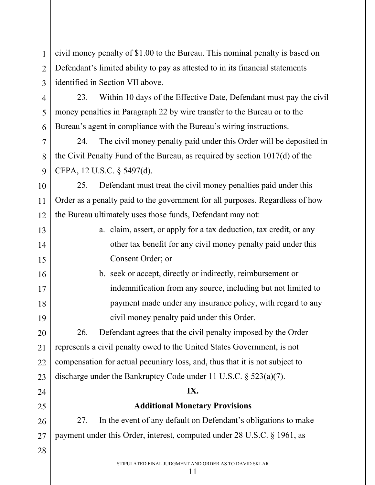civil money penalty of \$1.00 to the Bureau. This nominal penalty is based on Defendant's limited ability to pay as attested to in its financial statements identified in Section VII above.

23. Within 10 days of the Effective Date, Defendant must pay the civil money penalties in Paragraph 22 by wire transfer to the Bureau or to the Bureau's agent in compliance with the Bureau's wiring instructions.

24. The civil money penalty paid under this Order will be deposited in the Civil Penalty Fund of the Bureau, as required by section 1017(d) of the CFPA, 12 U.S.C. § 5497(d).

25. Defendant must treat the civil money penalties paid under this Order as a penalty paid to the government for all purposes. Regardless of how the Bureau ultimately uses those funds, Defendant may not:

a. claim, assert, or apply for a tax deduction, tax credit, or any other tax benefit for any civil money penalty paid under this Consent Order; or

b. seek or accept, directly or indirectly, reimbursement or indemnification from any source, including but not limited to payment made under any insurance policy, with regard to any civil money penalty paid under this Order.

26. Defendant agrees that the civil penalty imposed by the Order represents a civil penalty owed to the United States Government, is not compensation for actual pecuniary loss, and, thus that it is not subject to discharge under the Bankruptcy Code under 11 U.S.C. § 523(a)(7).

# **IX.**

# **Additional Monetary Provisions**

27. In the event of any default on Defendant's obligations to make payment under this Order, interest, computed under 28 U.S.C. § 1961, as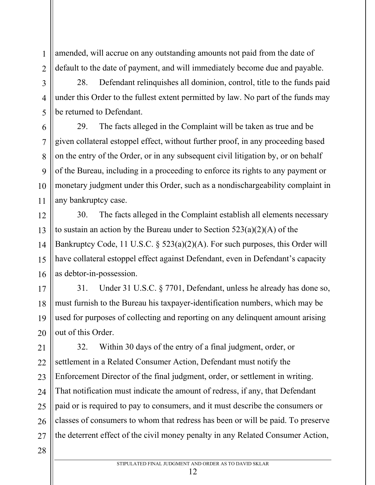amended, will accrue on any outstanding amounts not paid from the date of default to the date of payment, and will immediately become due and payable.

28. Defendant relinquishes all dominion, control, title to the funds paid under this Order to the fullest extent permitted by law. No part of the funds may be returned to Defendant.

29. The facts alleged in the Complaint will be taken as true and be given collateral estoppel effect, without further proof, in any proceeding based on the entry of the Order, or in any subsequent civil litigation by, or on behalf of the Bureau, including in a proceeding to enforce its rights to any payment or monetary judgment under this Order, such as a nondischargeability complaint in any bankruptcy case.

30. The facts alleged in the Complaint establish all elements necessary to sustain an action by the Bureau under to Section  $523(a)(2)(A)$  of the Bankruptcy Code, 11 U.S.C. § 523(a)(2)(A). For such purposes, this Order will have collateral estoppel effect against Defendant, even in Defendant's capacity as debtor-in-possession.

31. Under 31 U.S.C. § 7701, Defendant, unless he already has done so, must furnish to the Bureau his taxpayer-identification numbers, which may be used for purposes of collecting and reporting on any delinquent amount arising out of this Order.

32. Within 30 days of the entry of a final judgment, order, or settlement in a Related Consumer Action, Defendant must notify the Enforcement Director of the final judgment, order, or settlement in writing. That notification must indicate the amount of redress, if any, that Defendant paid or is required to pay to consumers, and it must describe the consumers or classes of consumers to whom that redress has been or will be paid. To preserve the deterrent effect of the civil money penalty in any Related Consumer Action,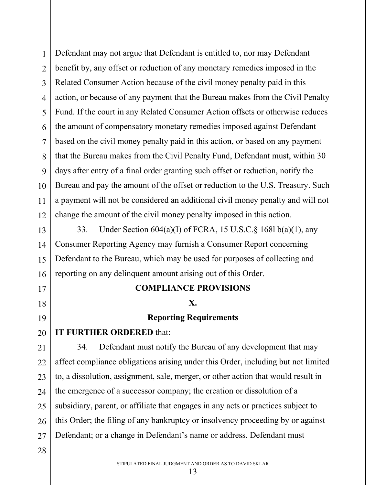2 3 4 5 6 7 8 9 10 12 Defendant may not argue that Defendant is entitled to, nor may Defendant benefit by, any offset or reduction of any monetary remedies imposed in the Related Consumer Action because of the civil money penalty paid in this action, or because of any payment that the Bureau makes from the Civil Penalty Fund. If the court in any Related Consumer Action offsets or otherwise reduces the amount of compensatory monetary remedies imposed against Defendant based on the civil money penalty paid in this action, or based on any payment that the Bureau makes from the Civil Penalty Fund, Defendant must, within 30 days after entry of a final order granting such offset or reduction, notify the Bureau and pay the amount of the offset or reduction to the U.S. Treasury. Such a payment will not be considered an additional civil money penalty and will not change the amount of the civil money penalty imposed in this action.

33. Under Section 604(a)(I) of FCRA, 15 U.S.C.§ 168l b(a)(1), any Consumer Reporting Agency may furnish a Consumer Report concerning Defendant to the Bureau, which may be used for purposes of collecting and reporting on any delinquent amount arising out of this Order.

# **COMPLIANCE PROVISIONS**

#### **X.**

# **Reporting Requirements**

# **IT FURTHER ORDERED** that:

21 22 23 24 25 26 27 34. Defendant must notify the Bureau of any development that may affect compliance obligations arising under this Order, including but not limited to, a dissolution, assignment, sale, merger, or other action that would result in the emergence of a successor company; the creation or dissolution of a subsidiary, parent, or affiliate that engages in any acts or practices subject to this Order; the filing of any bankruptcy or insolvency proceeding by or against Defendant; or a change in Defendant's name or address. Defendant must

28

1

11

13

14

15

16

17

18

19

20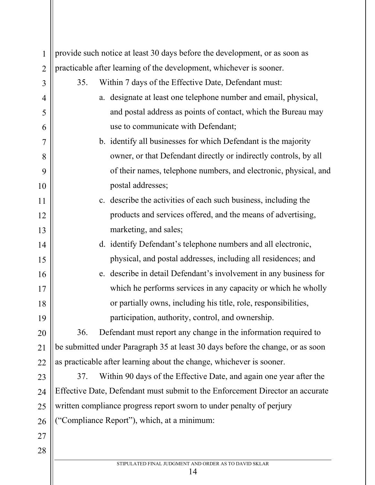| $\mathbf{1}$   | provide such notice at least 30 days before the development, or as soon as     |
|----------------|--------------------------------------------------------------------------------|
| $\overline{2}$ | practicable after learning of the development, whichever is sooner.            |
| 3              | Within 7 days of the Effective Date, Defendant must:<br>35.                    |
| $\overline{4}$ | a. designate at least one telephone number and email, physical,                |
| 5              | and postal address as points of contact, which the Bureau may                  |
| 6              | use to communicate with Defendant;                                             |
| $\overline{7}$ | b. identify all businesses for which Defendant is the majority                 |
| 8              | owner, or that Defendant directly or indirectly controls, by all               |
| 9              | of their names, telephone numbers, and electronic, physical, and               |
| 10             | postal addresses;                                                              |
| 11             | c. describe the activities of each such business, including the                |
| 12             | products and services offered, and the means of advertising,                   |
| 13             | marketing, and sales;                                                          |
| 14             | d. identify Defendant's telephone numbers and all electronic,                  |
| 15             | physical, and postal addresses, including all residences; and                  |
| 16             | e. describe in detail Defendant's involvement in any business for              |
| 17             | which he performs services in any capacity or which he wholly                  |
| 18             | or partially owns, including his title, role, responsibilities,                |
| 19             | participation, authority, control, and ownership.                              |
| 20             | Defendant must report any change in the information required to<br>36.         |
| 21             | be submitted under Paragraph 35 at least 30 days before the change, or as soon |
| 22             | as practicable after learning about the change, whichever is sooner.           |
| 23             | Within 90 days of the Effective Date, and again one year after the<br>37.      |
| 24             | Effective Date, Defendant must submit to the Enforcement Director an accurate  |
| 25             | written compliance progress report sworn to under penalty of perjury           |
| 26             | ("Compliance Report"), which, at a minimum:                                    |
| 27             |                                                                                |
| 28             |                                                                                |
|                | STIPULATED FINAL JUDGMENT AND ORDER AS TO DAVID SKLAR<br>14                    |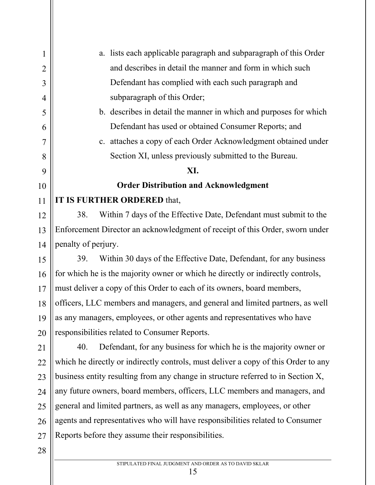1 2 3 4 5 6 7 8 9 10 11 12 13 14 15 16 17 18 19 20 21 22 23 24 25 26 27 a. lists each applicable paragraph and subparagraph of this Order and describes in detail the manner and form in which such Defendant has complied with each such paragraph and subparagraph of this Order; b. describes in detail the manner in which and purposes for which Defendant has used or obtained Consumer Reports; and c. attaches a copy of each Order Acknowledgment obtained under Section XI, unless previously submitted to the Bureau. **XI. Order Distribution and Acknowledgment IT IS FURTHER ORDERED** that, 38. Within 7 days of the Effective Date, Defendant must submit to the Enforcement Director an acknowledgment of receipt of this Order, sworn under penalty of perjury. 39. Within 30 days of the Effective Date, Defendant, for any business for which he is the majority owner or which he directly or indirectly controls, must deliver a copy of this Order to each of its owners, board members, officers, LLC members and managers, and general and limited partners, as well as any managers, employees, or other agents and representatives who have responsibilities related to Consumer Reports. 40. Defendant, for any business for which he is the majority owner or which he directly or indirectly controls, must deliver a copy of this Order to any business entity resulting from any change in structure referred to in Section X, any future owners, board members, officers, LLC members and managers, and general and limited partners, as well as any managers, employees, or other agents and representatives who will have responsibilities related to Consumer Reports before they assume their responsibilities.

28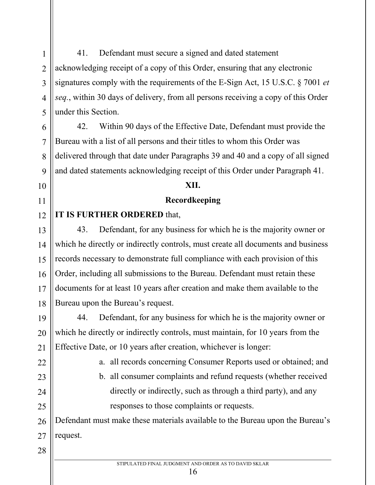41. Defendant must secure a signed and dated statement acknowledging receipt of a copy of this Order, ensuring that any electronic signatures comply with the requirements of the E-Sign Act, 15 U.S.C. § 7001 *et seq.*, within 30 days of delivery, from all persons receiving a copy of this Order under this Section.

42. Within 90 days of the Effective Date, Defendant must provide the Bureau with a list of all persons and their titles to whom this Order was delivered through that date under Paragraphs 39 and 40 and a copy of all signed and dated statements acknowledging receipt of this Order under Paragraph 41.

#### **XII.**

#### **Recordkeeping**

#### **IT IS FURTHER ORDERED** that,

43. Defendant, for any business for which he is the majority owner or which he directly or indirectly controls, must create all documents and business records necessary to demonstrate full compliance with each provision of this Order, including all submissions to the Bureau. Defendant must retain these documents for at least 10 years after creation and make them available to the Bureau upon the Bureau's request.

44. Defendant, for any business for which he is the majority owner or which he directly or indirectly controls, must maintain, for 10 years from the Effective Date, or 10 years after creation, whichever is longer:

- a. all records concerning Consumer Reports used or obtained; and
- b. all consumer complaints and refund requests (whether received directly or indirectly, such as through a third party), and any responses to those complaints or requests.

Defendant must make these materials available to the Bureau upon the Bureau's request.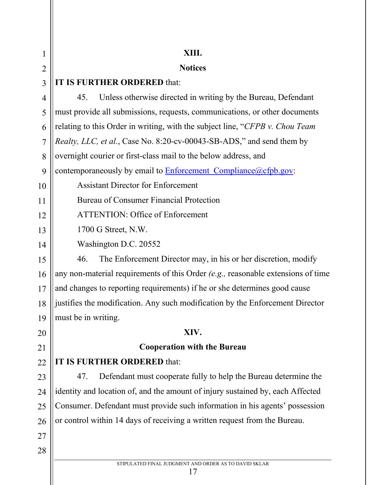| 1              | XIII.                                                                              |
|----------------|------------------------------------------------------------------------------------|
| $\overline{2}$ | <b>Notices</b>                                                                     |
| 3              | IT IS FURTHER ORDERED that:                                                        |
| 4              | Unless otherwise directed in writing by the Bureau, Defendant<br>45.               |
| 5              | must provide all submissions, requests, communications, or other documents         |
| 6              | relating to this Order in writing, with the subject line, "CFPB v. Chou Team"      |
| $\overline{7}$ | Realty, LLC, et al., Case No. 8:20-cv-00043-SB-ADS," and send them by              |
| 8              | overnight courier or first-class mail to the below address, and                    |
| 9              | contemporaneously by email to <b>Enforcement</b> Compliance (a)cfpb.gov:           |
| 10             | <b>Assistant Director for Enforcement</b>                                          |
| 11             | Bureau of Consumer Financial Protection                                            |
| 12             | <b>ATTENTION: Office of Enforcement</b>                                            |
| 13             | 1700 G Street, N.W.                                                                |
| 14             | Washington D.C. 20552                                                              |
| 15             | The Enforcement Director may, in his or her discretion, modify<br>46.              |
| 16             | any non-material requirements of this Order $(e.g.,$ reasonable extensions of time |
| 17             | and changes to reporting requirements) if he or she determines good cause          |
| 18             | justifies the modification. Any such modification by the Enforcement Director      |
| 19             | must be in writing.                                                                |
| 20             | XIV.                                                                               |
| 21             | <b>Cooperation with the Bureau</b>                                                 |
| 22             | IT IS FURTHER ORDERED that:                                                        |
| 23             | Defendant must cooperate fully to help the Bureau determine the<br>47.             |
| 24             | identity and location of, and the amount of injury sustained by, each Affected     |
| 25             | Consumer. Defendant must provide such information in his agents' possession        |
| 26             | or control within 14 days of receiving a written request from the Bureau.          |
| 27             |                                                                                    |
| 28             |                                                                                    |
|                | STIPULATED FINAL JUDGMENT AND ORDER AS TO DAVID SKLAR                              |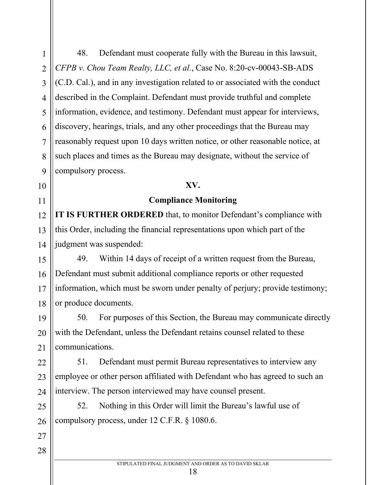48. Defendant must cooperate fully with the Bureau in this lawsuit, *CFPB v. Chou Team Realty, LLC, et al.*, Case No. 8:20-cv-00043-SB-ADS (C.D. Cal.), and in any investigation related to or associated with the conduct described in the Complaint. Defendant must provide truthful and complete information, evidence, and testimony. Defendant must appear for interviews, discovery, hearings, trials, and any other proceedings that the Bureau may reasonably request upon 10 days written notice, or other reasonable notice, at such places and times as the Bureau may designate, without the service of compulsory process.

#### **XV.**

#### **Compliance Monitoring**

**IT IS FURTHER ORDERED** that, to monitor Defendant's compliance with this Order, including the financial representations upon which part of the judgment was suspended:

49. Within 14 days of receipt of a written request from the Bureau, Defendant must submit additional compliance reports or other requested information, which must be sworn under penalty of perjury; provide testimony; or produce documents.

50. For purposes of this Section, the Bureau may communicate directly with the Defendant, unless the Defendant retains counsel related to these communications.

51. Defendant must permit Bureau representatives to interview any employee or other person affiliated with Defendant who has agreed to such an interview. The person interviewed may have counsel present.

52. Nothing in this Order will limit the Bureau's lawful use of compulsory process, under 12 C.F.R. § 1080.6.